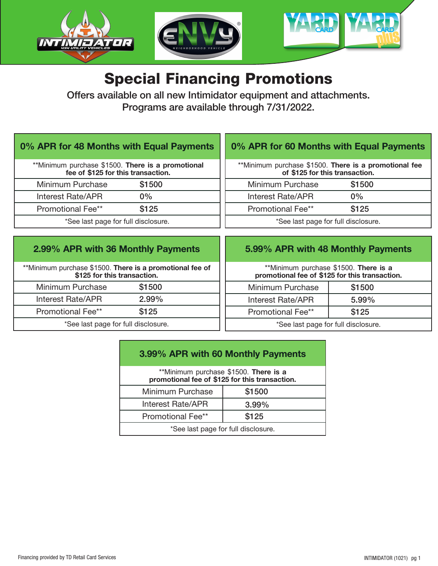

# Special Financing Promotions

Offers available on all new Intimidator equipment and attachments. Programs are available through 7/31/2022.

#### 0% APR for 48 Months with Equal Payments

| **Minimum purchase \$1500. There is a promotional<br>fee of \$125 for this transaction. |        |  |
|-----------------------------------------------------------------------------------------|--------|--|
| Minimum Purchase                                                                        | \$1500 |  |
| Interest Rate/APR                                                                       | $0\%$  |  |
| <b>Promotional Fee**</b>                                                                | \$125  |  |
| *See last page for full disclosure.                                                     |        |  |

### 0% APR for 60 Months with Equal Payments

| **Minimum purchase \$1500. There is a promotional fee<br>of \$125 for this transaction. |        |  |
|-----------------------------------------------------------------------------------------|--------|--|
| Minimum Purchase                                                                        | \$1500 |  |
| Interest Rate/APR                                                                       | $0\%$  |  |
| Promotional Fee**                                                                       | \$125  |  |
| *See last page for full disclosure.                                                     |        |  |

### 2.99% APR with 36 Monthly Payments

\*\*Minimum purchase \$1500. There is a promotional fee of \$125 for this transaction. Minimum Purchase \$1500 Interest Rate/APR 2.99% Promotional Fee\*\* \$125 \*See last page for full disclosure.

#### 5.99% APR with 48 Monthly Payments

\*\*Minimum purchase \$1500. There is a promotional fee of \$125 for this transaction.

| Minimum Purchase  | \$1500   |  |
|-------------------|----------|--|
| Interest Rate/APR | $5.99\%$ |  |
| Promotional Fee** | \$125    |  |
|                   |          |  |

See last page for full disclosure.

## 3.99% APR with 60 Monthly Payments

| **Minimum purchase \$1500. There is a<br>promotional fee of \$125 for this transaction. |          |  |
|-----------------------------------------------------------------------------------------|----------|--|
| Minimum Purchase                                                                        | \$1500   |  |
| <b>Interest Rate/APR</b>                                                                | $3.99\%$ |  |
| Promotional Fee**                                                                       | \$125    |  |
| *See last page for full disclosure.                                                     |          |  |